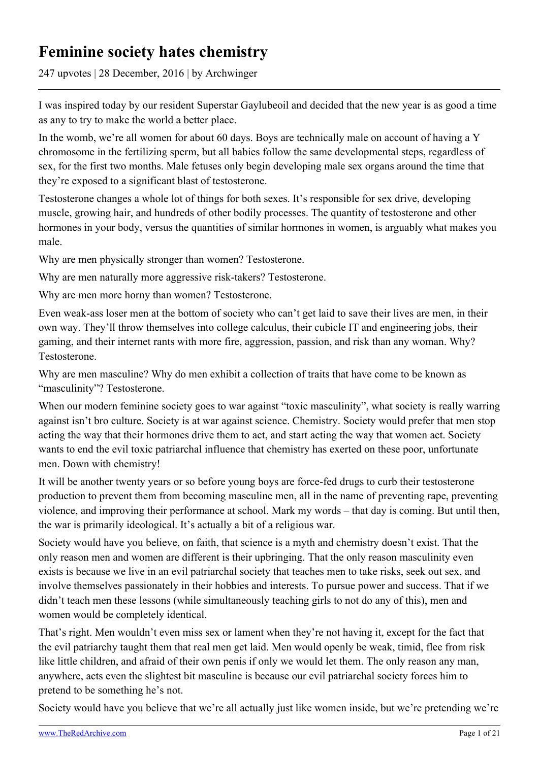# **Feminine society hates chemistry**

247 upvotes | 28 December, 2016 | by Archwinger

I was inspired today by our resident Superstar Gaylubeoil and decided that the new year is as good a time as any to try to make the world a better place.

In the womb, we're all women for about 60 days. Boys are technically male on account of having a Y chromosome in the fertilizing sperm, but all babies follow the same developmental steps, regardless of sex, for the first two months. Male fetuses only begin developing male sex organs around the time that they're exposed to a significant blast of testosterone.

Testosterone changes a whole lot of things for both sexes. It's responsible for sex drive, developing muscle, growing hair, and hundreds of other bodily processes. The quantity of testosterone and other hormones in your body, versus the quantities of similar hormones in women, is arguably what makes you male.

Why are men physically stronger than women? Testosterone.

Why are men naturally more aggressive risk-takers? Testosterone.

Why are men more horny than women? Testosterone.

Even weak-ass loser men at the bottom of society who can't get laid to save their lives are men, in their own way. They'll throw themselves into college calculus, their cubicle IT and engineering jobs, their gaming, and their internet rants with more fire, aggression, passion, and risk than any woman. Why? Testosterone.

Why are men masculine? Why do men exhibit a collection of traits that have come to be known as "masculinity"? Testosterone.

When our modern feminine society goes to war against "toxic masculinity", what society is really warring against isn't bro culture. Society is at war against science. Chemistry. Society would prefer that men stop acting the way that their hormones drive them to act, and start acting the way that women act. Society wants to end the evil toxic patriarchal influence that chemistry has exerted on these poor, unfortunate men. Down with chemistry!

It will be another twenty years or so before young boys are force-fed drugs to curb their testosterone production to prevent them from becoming masculine men, all in the name of preventing rape, preventing violence, and improving their performance at school. Mark my words – that day is coming. But until then, the war is primarily ideological. It's actually a bit of a religious war.

Society would have you believe, on faith, that science is a myth and chemistry doesn't exist. That the only reason men and women are different is their upbringing. That the only reason masculinity even exists is because we live in an evil patriarchal society that teaches men to take risks, seek out sex, and involve themselves passionately in their hobbies and interests. To pursue power and success. That if we didn't teach men these lessons (while simultaneously teaching girls to not do any of this), men and women would be completely identical.

That's right. Men wouldn't even miss sex or lament when they're not having it, except for the fact that the evil patriarchy taught them that real men get laid. Men would openly be weak, timid, flee from risk like little children, and afraid of their own penis if only we would let them. The only reason any man, anywhere, acts even the slightest bit masculine is because our evil patriarchal society forces him to pretend to be something he's not.

Society would have you believe that we're all actually just like women inside, but we're pretending we're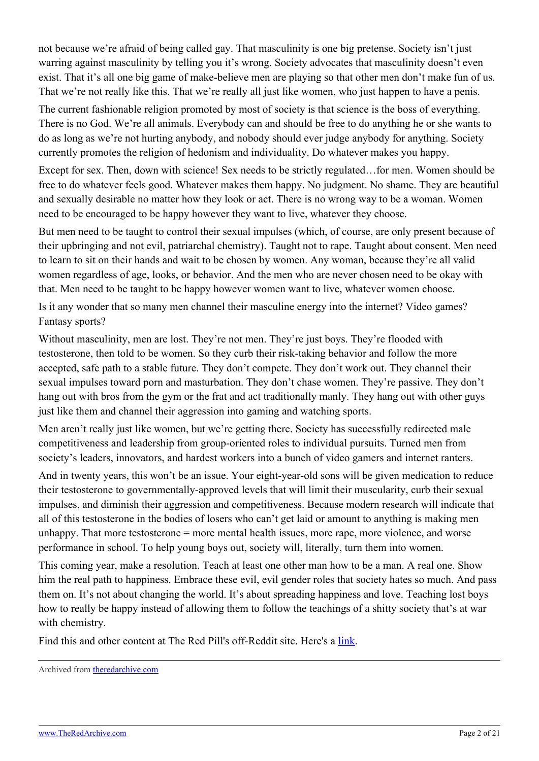not because we're afraid of being called gay. That masculinity is one big pretense. Society isn't just warring against masculinity by telling you it's wrong. Society advocates that masculinity doesn't even exist. That it's all one big game of make-believe men are playing so that other men don't make fun of us. That we're not really like this. That we're really all just like women, who just happen to have a penis.

The current fashionable religion promoted by most of society is that science is the boss of everything. There is no God. We're all animals. Everybody can and should be free to do anything he or she wants to do as long as we're not hurting anybody, and nobody should ever judge anybody for anything. Society currently promotes the religion of hedonism and individuality. Do whatever makes you happy.

Except for sex. Then, down with science! Sex needs to be strictly regulated…for men. Women should be free to do whatever feels good. Whatever makes them happy. No judgment. No shame. They are beautiful and sexually desirable no matter how they look or act. There is no wrong way to be a woman. Women need to be encouraged to be happy however they want to live, whatever they choose.

But men need to be taught to control their sexual impulses (which, of course, are only present because of their upbringing and not evil, patriarchal chemistry). Taught not to rape. Taught about consent. Men need to learn to sit on their hands and wait to be chosen by women. Any woman, because they're all valid women regardless of age, looks, or behavior. And the men who are never chosen need to be okay with that. Men need to be taught to be happy however women want to live, whatever women choose.

Is it any wonder that so many men channel their masculine energy into the internet? Video games? Fantasy sports?

Without masculinity, men are lost. They're not men. They're just boys. They're flooded with testosterone, then told to be women. So they curb their risk-taking behavior and follow the more accepted, safe path to a stable future. They don't compete. They don't work out. They channel their sexual impulses toward porn and masturbation. They don't chase women. They're passive. They don't hang out with bros from the gym or the frat and act traditionally manly. They hang out with other guys just like them and channel their aggression into gaming and watching sports.

Men aren't really just like women, but we're getting there. Society has successfully redirected male competitiveness and leadership from group-oriented roles to individual pursuits. Turned men from society's leaders, innovators, and hardest workers into a bunch of video gamers and internet ranters.

And in twenty years, this won't be an issue. Your eight-year-old sons will be given medication to reduce their testosterone to governmentally-approved levels that will limit their muscularity, curb their sexual impulses, and diminish their aggression and competitiveness. Because modern research will indicate that all of this testosterone in the bodies of losers who can't get laid or amount to anything is making men unhappy. That more testosterone = more mental health issues, more rape, more violence, and worse performance in school. To help young boys out, society will, literally, turn them into women.

This coming year, make a resolution. Teach at least one other man how to be a man. A real one. Show him the real path to happiness. Embrace these evil, evil gender roles that society hates so much. And pass them on. It's not about changing the world. It's about spreading happiness and love. Teaching lost boys how to really be happy instead of allowing them to follow the teachings of a shitty society that's at war with chemistry.

Find this and other content at The Red Pill's off-Reddit site. Here's a [link](https://www.trp.red/p/theasshole/458).

Archived from [theredarchive.com](https://theredarchive.com/r/TheRedPill/feminine-society-hates-chemistry.65812)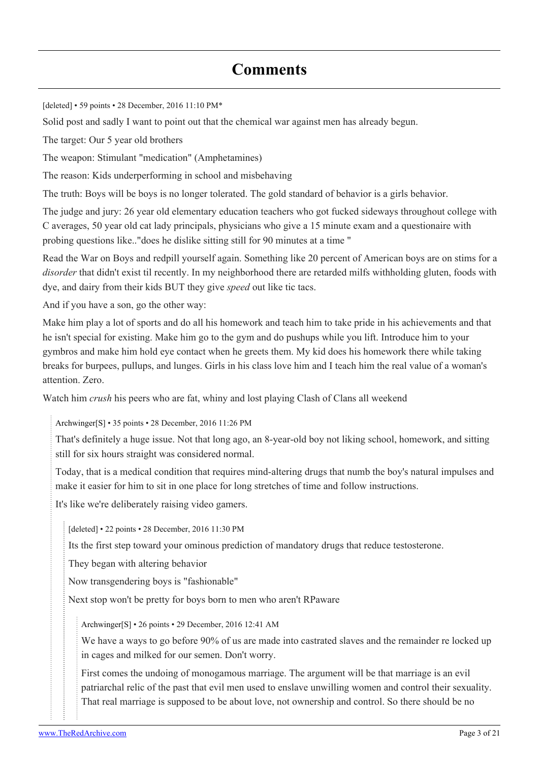# **Comments**

[deleted] • 59 points • 28 December, 2016 11:10 PM\*

Solid post and sadly I want to point out that the chemical war against men has already begun.

The target: Our 5 year old brothers

The weapon: Stimulant "medication" (Amphetamines)

The reason: Kids underperforming in school and misbehaving

The truth: Boys will be boys is no longer tolerated. The gold standard of behavior is a girls behavior.

The judge and jury: 26 year old elementary education teachers who got fucked sideways throughout college with C averages, 50 year old cat lady principals, physicians who give a 15 minute exam and a questionaire with probing questions like.."does he dislike sitting still for 90 minutes at a time "

Read the War on Boys and redpill yourself again. Something like 20 percent of American boys are on stims for a *disorder* that didn't exist til recently. In my neighborhood there are retarded milfs withholding gluten, foods with dye, and dairy from their kids BUT they give *speed* out like tic tacs.

And if you have a son, go the other way:

Make him play a lot of sports and do all his homework and teach him to take pride in his achievements and that he isn't special for existing. Make him go to the gym and do pushups while you lift. Introduce him to your gymbros and make him hold eye contact when he greets them. My kid does his homework there while taking breaks for burpees, pullups, and lunges. Girls in his class love him and I teach him the real value of a woman's attention. Zero.

Watch him *crush* his peers who are fat, whiny and lost playing Clash of Clans all weekend

[Archwinger](https://old.reddit.com/user/Archwinger)[\[S\]](https://theredarchive.com/r/TheRedPill/comments/5ks0pe/feminine_society_hates_chemistry/) • 35 points • 28 December, 2016 11:26 PM

That's definitely a huge issue. Not that long ago, an 8-year-old boy not liking school, homework, and sitting still for six hours straight was considered normal.

Today, that is a medical condition that requires mind-altering drugs that numb the boy's natural impulses and make it easier for him to sit in one place for long stretches of time and follow instructions.

It's like we're deliberately raising video gamers.

[deleted] • 22 points • 28 December, 2016 11:30 PM

Its the first step toward your ominous prediction of mandatory drugs that reduce testosterone.

They began with altering behavior

Now transgendering boys is "fashionable"

Next stop won't be pretty for boys born to men who aren't RPaware

[Archwinger\[](https://old.reddit.com/user/Archwinger)[S](https://theredarchive.com/r/TheRedPill/comments/5ks0pe/feminine_society_hates_chemistry/)] • 26 points • 29 December, 2016 12:41 AM

We have a ways to go before  $90\%$  of us are made into castrated slaves and the remainder re locked up in cages and milked for our semen. Don't worry.

First comes the undoing of monogamous marriage. The argument will be that marriage is an evil patriarchal relic of the past that evil men used to enslave unwilling women and control their sexuality. That real marriage is supposed to be about love, not ownership and control. So there should be no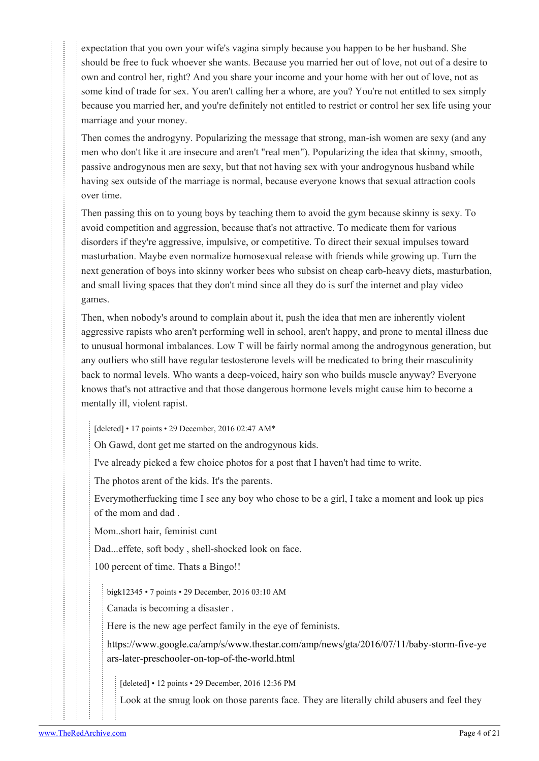expectation that you own your wife's vagina simply because you happen to be her husband. She should be free to fuck whoever she wants. Because you married her out of love, not out of a desire to own and control her, right? And you share your income and your home with her out of love, not as some kind of trade for sex. You aren't calling her a whore, are you? You're not entitled to sex simply because you married her, and you're definitely not entitled to restrict or control her sex life using your marriage and your money.

Then comes the androgyny. Popularizing the message that strong, man-ish women are sexy (and any men who don't like it are insecure and aren't "real men"). Popularizing the idea that skinny, smooth, passive androgynous men are sexy, but that not having sex with your androgynous husband while having sex outside of the marriage is normal, because everyone knows that sexual attraction cools over time.

Then passing this on to young boys by teaching them to avoid the gym because skinny is sexy. To avoid competition and aggression, because that's not attractive. To medicate them for various disorders if they're aggressive, impulsive, or competitive. To direct their sexual impulses toward masturbation. Maybe even normalize homosexual release with friends while growing up. Turn the next generation of boys into skinny worker bees who subsist on cheap carb-heavy diets, masturbation, and small living spaces that they don't mind since all they do is surf the internet and play video games.

Then, when nobody's around to complain about it, push the idea that men are inherently violent aggressive rapists who aren't performing well in school, aren't happy, and prone to mental illness due to unusual hormonal imbalances. Low T will be fairly normal among the androgynous generation, but any outliers who still have regular testosterone levels will be medicated to bring their masculinity back to normal levels. Who wants a deep-voiced, hairy son who builds muscle anyway? Everyone knows that's not attractive and that those dangerous hormone levels might cause him to become a mentally ill, violent rapist.

[deleted] • 17 points • 29 December, 2016 02:47 AM\*

Oh Gawd, dont get me started on the androgynous kids.

I've already picked a few choice photos for a post that I haven't had time to write.

The photos arent of the kids. It's the parents.

Everymotherfucking time I see any boy who chose to be a girl, I take a moment and look up pics of the mom and dad .

Mom..short hair, feminist cunt

Dad...effete, soft body , shell-shocked look on face.

100 percent of time. Thats a Bingo!!

[bigk12345](https://old.reddit.com/user/bigk12345) • 7 points • 29 December, 2016 03:10 AM

Canada is becoming a disaster .

Here is the new age perfect family in the eye of feminists.

[https://www.google.ca/amp/s/www.thestar.com/amp/news/gta/2016/07/11/baby-storm-five-ye](https://www.google.ca/amp/s/www.thestar.com/amp/news/gta/2016/07/11/baby-storm-five-years-later-preschooler-on-top-of-the-world.html) [ars-later-preschooler-on-top-of-the-world.html](https://www.google.ca/amp/s/www.thestar.com/amp/news/gta/2016/07/11/baby-storm-five-years-later-preschooler-on-top-of-the-world.html)

[deleted] • 12 points • 29 December, 2016 12:36 PM

Look at the smug look on those parents face. They are literally child abusers and feel they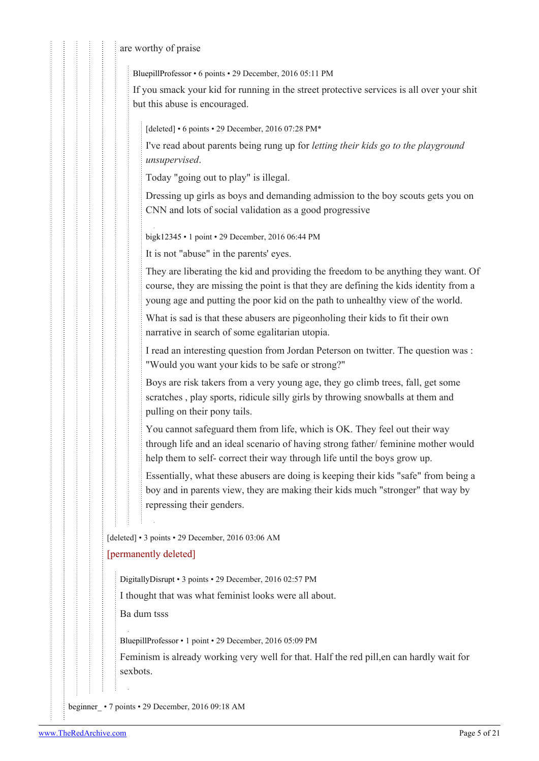are worthy of praise

[BluepillProfessor](https://old.reddit.com/user/BluepillProfessor) • 6 points • 29 December, 2016 05:11 PM

If you smack your kid for running in the street protective services is all over your shit but this abuse is encouraged.

[deleted] • 6 points • 29 December, 2016 07:28 PM\*

I've read about parents being rung up for *letting their kids go to the playground unsupervised*.

Today "going out to play" is illegal.

Dressing up girls as boys and demanding admission to the boy scouts gets you on CNN and lots of social validation as a good progressive

[bigk12345](https://old.reddit.com/user/bigk12345) • 1 point • 29 December, 2016 06:44 PM

It is not "abuse" in the parents' eyes.

They are liberating the kid and providing the freedom to be anything they want. Of course, they are missing the point is that they are defining the kids identity from a young age and putting the poor kid on the path to unhealthy view of the world.

What is sad is that these abusers are pigeonholing their kids to fit their own narrative in search of some egalitarian utopia.

I read an interesting question from Jordan Peterson on twitter. The question was : "Would you want your kids to be safe or strong?"

Boys are risk takers from a very young age, they go climb trees, fall, get some scratches , play sports, ridicule silly girls by throwing snowballs at them and pulling on their pony tails.

You cannot safeguard them from life, which is OK. They feel out their way through life and an ideal scenario of having strong father/ feminine mother would help them to self- correct their way through life until the boys grow up.

Essentially, what these abusers are doing is keeping their kids "safe" from being a boy and in parents view, they are making their kids much "stronger" that way by repressing their genders.

[deleted] • 3 points • 29 December, 2016 03:06 AM

### [permanently deleted]

[DigitallyDisrupt](https://old.reddit.com/user/DigitallyDisrupt) • 3 points • 29 December, 2016 02:57 PM

I thought that was what feminist looks were all about.

Ba dum tsss

[BluepillProfessor](https://old.reddit.com/user/BluepillProfessor) • 1 point • 29 December, 2016 05:09 PM

Feminism is already working very well for that. Half the red pill,en can hardly wait for sexbots.

[beginner\\_](https://old.reddit.com/user/beginner_) • 7 points • 29 December, 2016 09:18 AM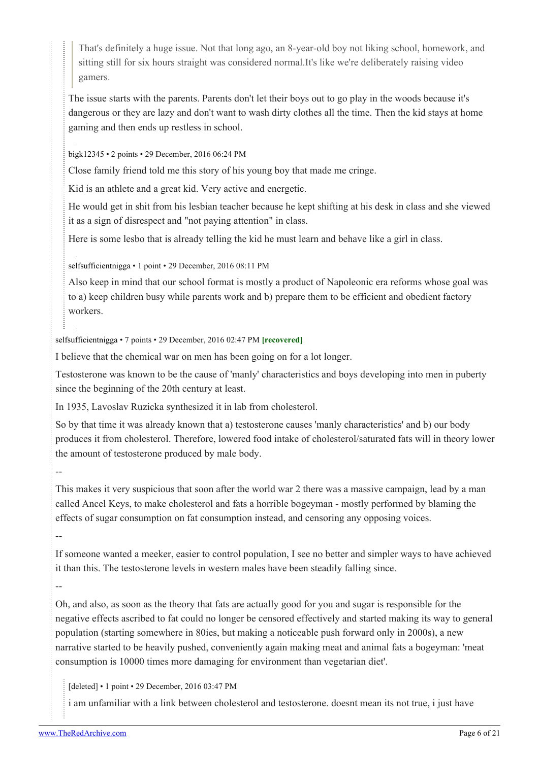That's definitely a huge issue. Not that long ago, an 8-year-old boy not liking school, homework, and sitting still for six hours straight was considered normal.It's like we're deliberately raising video gamers.

The issue starts with the parents. Parents don't let their boys out to go play in the woods because it's dangerous or they are lazy and don't want to wash dirty clothes all the time. Then the kid stays at home gaming and then ends up restless in school.

[bigk12345](https://old.reddit.com/user/bigk12345) • 2 points • 29 December, 2016 06:24 PM

Close family friend told me this story of his young boy that made me cringe.

Kid is an athlete and a great kid. Very active and energetic.

He would get in shit from his lesbian teacher because he kept shifting at his desk in class and she viewed it as a sign of disrespect and "not paying attention" in class.

Here is some lesbo that is already telling the kid he must learn and behave like a girl in class.

[selfsufficientnigga](https://old.reddit.com/user/selfsufficientnigga) • 1 point • 29 December, 2016 08:11 PM

Also keep in mind that our school format is mostly a product of Napoleonic era reforms whose goal was to a) keep children busy while parents work and b) prepare them to be efficient and obedient factory workers.

[selfsufficientnigga](https://old.reddit.com/user/selfsufficientnigga) • 7 points • 29 December, 2016 02:47 PM **[recovered]**

I believe that the chemical war on men has been going on for a lot longer.

Testosterone was known to be the cause of 'manly' characteristics and boys developing into men in puberty since the beginning of the 20th century at least.

In 1935, Lavoslav Ruzicka synthesized it in lab from cholesterol.

So by that time it was already known that a) testosterone causes 'manly characteristics' and b) our body produces it from cholesterol. Therefore, lowered food intake of cholesterol/saturated fats will in theory lower the amount of testosterone produced by male body.

--

This makes it very suspicious that soon after the world war 2 there was a massive campaign, lead by a man called Ancel Keys, to make cholesterol and fats a horrible bogeyman - mostly performed by blaming the effects of sugar consumption on fat consumption instead, and censoring any opposing voices.

--

--

If someone wanted a meeker, easier to control population, I see no better and simpler ways to have achieved it than this. The testosterone levels in western males have been steadily falling since.

Oh, and also, as soon as the theory that fats are actually good for you and sugar is responsible for the negative effects ascribed to fat could no longer be censored effectively and started making its way to general population (starting somewhere in 80ies, but making a noticeable push forward only in 2000s), a new narrative started to be heavily pushed, conveniently again making meat and animal fats a bogeyman: 'meat consumption is 10000 times more damaging for environment than vegetarian diet'.

[deleted] • 1 point • 29 December, 2016 03:47 PM

i am unfamiliar with a link between cholesterol and testosterone. doesnt mean its not true, i just have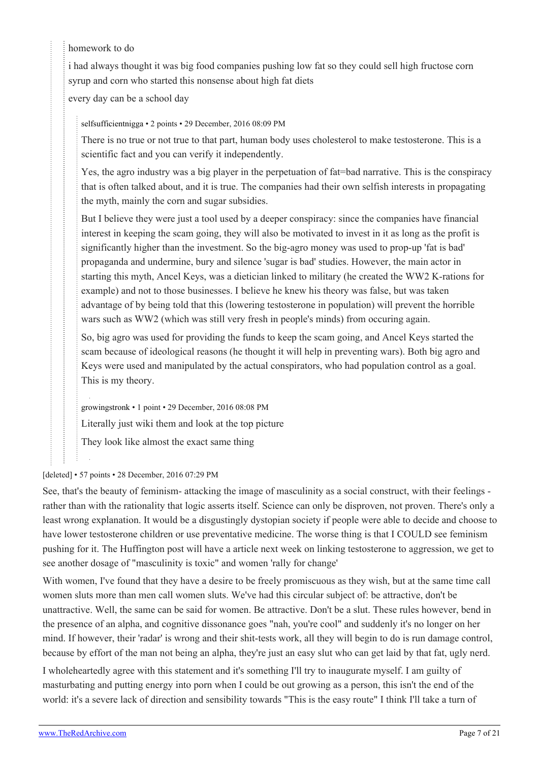# homework to do

i had always thought it was big food companies pushing low fat so they could sell high fructose corn syrup and corn who started this nonsense about high fat diets

every day can be a school day

[selfsufficientnigga](https://old.reddit.com/user/selfsufficientnigga) • 2 points • 29 December, 2016 08:09 PM

There is no true or not true to that part, human body uses cholesterol to make testosterone. This is a scientific fact and you can verify it independently.

Yes, the agro industry was a big player in the perpetuation of fat=bad narrative. This is the conspiracy that is often talked about, and it is true. The companies had their own selfish interests in propagating the myth, mainly the corn and sugar subsidies.

But I believe they were just a tool used by a deeper conspiracy: since the companies have financial interest in keeping the scam going, they will also be motivated to invest in it as long as the profit is significantly higher than the investment. So the big-agro money was used to prop-up 'fat is bad' propaganda and undermine, bury and silence 'sugar is bad' studies. However, the main actor in starting this myth, Ancel Keys, was a dietician linked to military (he created the WW2 K-rations for example) and not to those businesses. I believe he knew his theory was false, but was taken advantage of by being told that this (lowering testosterone in population) will prevent the horrible wars such as WW2 (which was still very fresh in people's minds) from occuring again.

So, big agro was used for providing the funds to keep the scam going, and Ancel Keys started the scam because of ideological reasons (he thought it will help in preventing wars). Both big agro and Keys were used and manipulated by the actual conspirators, who had population control as a goal. This is my theory.

[growingstronk](https://old.reddit.com/user/growingstronk) • 1 point • 29 December, 2016 08:08 PM

Literally just wiki them and look at the top picture

They look like almost the exact same thing

### [deleted] • 57 points • 28 December, 2016 07:29 PM

See, that's the beauty of feminism- attacking the image of masculinity as a social construct, with their feelings rather than with the rationality that logic asserts itself. Science can only be disproven, not proven. There's only a least wrong explanation. It would be a disgustingly dystopian society if people were able to decide and choose to have lower testosterone children or use preventative medicine. The worse thing is that I COULD see feminism pushing for it. The Huffington post will have a article next week on linking testosterone to aggression, we get to see another dosage of "masculinity is toxic" and women 'rally for change'

With women, I've found that they have a desire to be freely promiscuous as they wish, but at the same time call women sluts more than men call women sluts. We've had this circular subject of: be attractive, don't be unattractive. Well, the same can be said for women. Be attractive. Don't be a slut. These rules however, bend in the presence of an alpha, and cognitive dissonance goes "nah, you're cool" and suddenly it's no longer on her mind. If however, their 'radar' is wrong and their shit-tests work, all they will begin to do is run damage control, because by effort of the man not being an alpha, they're just an easy slut who can get laid by that fat, ugly nerd.

I wholeheartedly agree with this statement and it's something I'll try to inaugurate myself. I am guilty of masturbating and putting energy into porn when I could be out growing as a person, this isn't the end of the world: it's a severe lack of direction and sensibility towards "This is the easy route" I think I'll take a turn of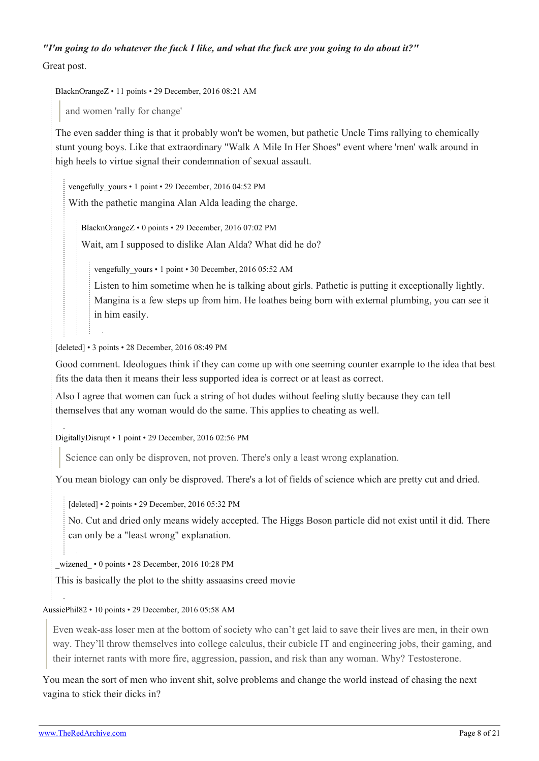# *"I'm going to do whatever the fuck I like, and what the fuck are you going to do about it?"*

Great post.

[BlacknOrangeZ](https://old.reddit.com/user/BlacknOrangeZ) • 11 points • 29 December, 2016 08:21 AM

and women 'rally for change'

The even sadder thing is that it probably won't be women, but pathetic Uncle Tims rallying to chemically stunt young boys. Like that extraordinary "Walk A Mile In Her Shoes" event where 'men' walk around in high heels to virtue signal their condemnation of sexual assault.

vengefully yours • 1 point • 29 December, 2016 04:52 PM With the pathetic mangina Alan Alda leading the charge.

[BlacknOrangeZ](https://old.reddit.com/user/BlacknOrangeZ) • 0 points • 29 December, 2016 07:02 PM Wait, am I supposed to dislike Alan Alda? What did he do?

vengefully yours • 1 point • 30 December, 2016 05:52 AM

Listen to him sometime when he is talking about girls. Pathetic is putting it exceptionally lightly. Mangina is a few steps up from him. He loathes being born with external plumbing, you can see it in him easily.

[deleted] • 3 points • 28 December, 2016 08:49 PM

Good comment. Ideologues think if they can come up with one seeming counter example to the idea that best fits the data then it means their less supported idea is correct or at least as correct.

Also I agree that women can fuck a string of hot dudes without feeling slutty because they can tell themselves that any woman would do the same. This applies to cheating as well.

[DigitallyDisrupt](https://old.reddit.com/user/DigitallyDisrupt) • 1 point • 29 December, 2016 02:56 PM

Science can only be disproven, not proven. There's only a least wrong explanation.

You mean biology can only be disproved. There's a lot of fields of science which are pretty cut and dried.

[deleted] • 2 points • 29 December, 2016 05:32 PM

No. Cut and dried only means widely accepted. The Higgs Boson particle did not exist until it did. There can only be a "least wrong" explanation.

wizened • 0 points • 28 December, 2016 10:28 PM

This is basically the plot to the shitty assaasins creed movie

#### [AussiePhil82](https://old.reddit.com/user/AussiePhil82) • 10 points • 29 December, 2016 05:58 AM

Even weak-ass loser men at the bottom of society who can't get laid to save their lives are men, in their own way. They'll throw themselves into college calculus, their cubicle IT and engineering jobs, their gaming, and their internet rants with more fire, aggression, passion, and risk than any woman. Why? Testosterone.

You mean the sort of men who invent shit, solve problems and change the world instead of chasing the next vagina to stick their dicks in?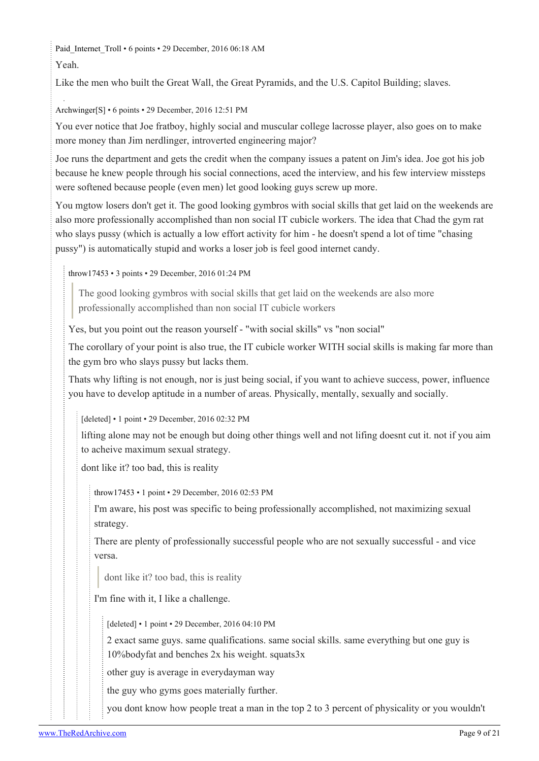Paid Internet Troll • 6 points • 29 December, 2016 06:18 AM Yeah.

Like the men who built the Great Wall, the Great Pyramids, and the U.S. Capitol Building; slaves.

[Archwinger](https://old.reddit.com/user/Archwinger)[\[S\]](https://theredarchive.com/r/TheRedPill/comments/5ks0pe/feminine_society_hates_chemistry/) • 6 points • 29 December, 2016 12:51 PM

You ever notice that Joe fratboy, highly social and muscular college lacrosse player, also goes on to make more money than Jim nerdlinger, introverted engineering major?

Joe runs the department and gets the credit when the company issues a patent on Jim's idea. Joe got his job because he knew people through his social connections, aced the interview, and his few interview missteps were softened because people (even men) let good looking guys screw up more.

You mgtow losers don't get it. The good looking gymbros with social skills that get laid on the weekends are also more professionally accomplished than non social IT cubicle workers. The idea that Chad the gym rat who slays pussy (which is actually a low effort activity for him - he doesn't spend a lot of time "chasing pussy") is automatically stupid and works a loser job is feel good internet candy.

[throw17453](https://old.reddit.com/user/throw17453) • 3 points • 29 December, 2016 01:24 PM

The good looking gymbros with social skills that get laid on the weekends are also more professionally accomplished than non social IT cubicle workers

Yes, but you point out the reason yourself - "with social skills" vs "non social"

The corollary of your point is also true, the IT cubicle worker WITH social skills is making far more than the gym bro who slays pussy but lacks them.

Thats why lifting is not enough, nor is just being social, if you want to achieve success, power, influence you have to develop aptitude in a number of areas. Physically, mentally, sexually and socially.

[deleted] • 1 point • 29 December, 2016 02:32 PM

lifting alone may not be enough but doing other things well and not lifing doesnt cut it. not if you aim to acheive maximum sexual strategy.

dont like it? too bad, this is reality

[throw17453](https://old.reddit.com/user/throw17453) • 1 point • 29 December, 2016 02:53 PM

I'm aware, his post was specific to being professionally accomplished, not maximizing sexual strategy.

There are plenty of professionally successful people who are not sexually successful - and vice versa.

dont like it? too bad, this is reality

I'm fine with it, I like a challenge.

[deleted] • 1 point • 29 December, 2016 04:10 PM

2 exact same guys. same qualifications. same social skills. same everything but one guy is 10%bodyfat and benches 2x his weight. squats3x

other guy is average in everydayman way

the guy who gyms goes materially further.

you dont know how people treat a man in the top 2 to 3 percent of physicality or you wouldn't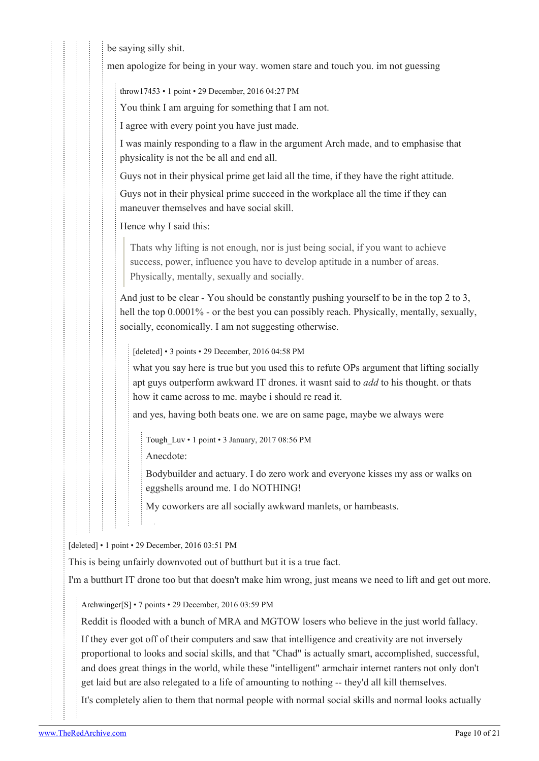be saying silly shit.

men apologize for being in your way. women stare and touch you. im not guessing

[throw17453](https://old.reddit.com/user/throw17453) • 1 point • 29 December, 2016 04:27 PM

You think I am arguing for something that I am not.

I agree with every point you have just made.

I was mainly responding to a flaw in the argument Arch made, and to emphasise that physicality is not the be all and end all.

Guys not in their physical prime get laid all the time, if they have the right attitude.

Guys not in their physical prime succeed in the workplace all the time if they can maneuver themselves and have social skill.

Hence why I said this:

Thats why lifting is not enough, nor is just being social, if you want to achieve success, power, influence you have to develop aptitude in a number of areas. Physically, mentally, sexually and socially.

And just to be clear - You should be constantly pushing yourself to be in the top 2 to 3, hell the top 0.0001% - or the best you can possibly reach. Physically, mentally, sexually, socially, economically. I am not suggesting otherwise.

[deleted] • 3 points • 29 December, 2016 04:58 PM

what you say here is true but you used this to refute OPs argument that lifting socially apt guys outperform awkward IT drones. it wasnt said to *add* to his thought. or thats how it came across to me. maybe i should re read it.

and yes, having both beats one. we are on same page, maybe we always were

[Tough\\_Luv](https://old.reddit.com/user/Tough_Luv) • 1 point • 3 January, 2017 08:56 PM

Anecdote:

Bodybuilder and actuary. I do zero work and everyone kisses my ass or walks on eggshells around me. I do NOTHING!

My coworkers are all socially awkward manlets, or hambeasts.

[deleted] • 1 point • 29 December, 2016 03:51 PM

This is being unfairly downvoted out of butthurt but it is a true fact.

I'm a butthurt IT drone too but that doesn't make him wrong, just means we need to lift and get out more.

[Archwinger\[](https://old.reddit.com/user/Archwinger)[S](https://theredarchive.com/r/TheRedPill/comments/5ks0pe/feminine_society_hates_chemistry/)] • 7 points • 29 December, 2016 03:59 PM

Reddit is flooded with a bunch of MRA and MGTOW losers who believe in the just world fallacy.

If they ever got off of their computers and saw that intelligence and creativity are not inversely proportional to looks and social skills, and that "Chad" is actually smart, accomplished, successful, and does great things in the world, while these "intelligent" armchair internet ranters not only don't get laid but are also relegated to a life of amounting to nothing -- they'd all kill themselves.

It's completely alien to them that normal people with normal social skills and normal looks actually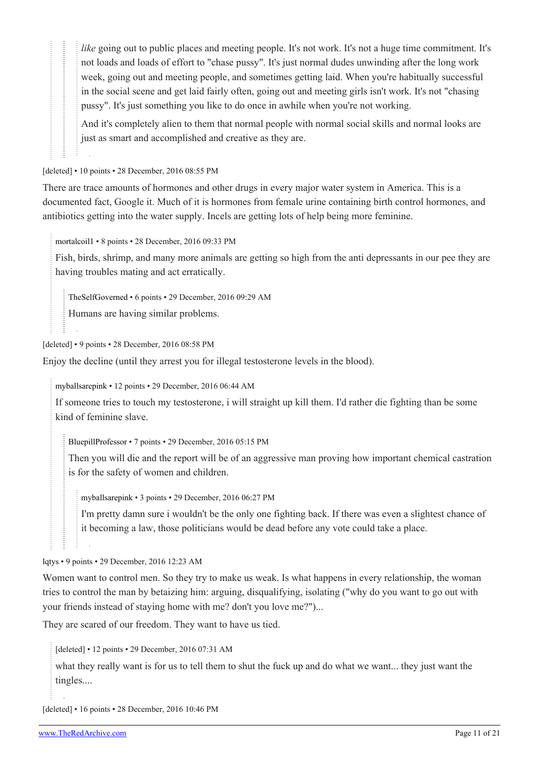*like* going out to public places and meeting people. It's not work. It's not a huge time commitment. It's not loads and loads of effort to "chase pussy". It's just normal dudes unwinding after the long work week, going out and meeting people, and sometimes getting laid. When you're habitually successful in the social scene and get laid fairly often, going out and meeting girls isn't work. It's not "chasing pussy". It's just something you like to do once in awhile when you're not working.

And it's completely alien to them that normal people with normal social skills and normal looks are just as smart and accomplished and creative as they are.

[deleted] • 10 points • 28 December, 2016 08:55 PM

There are trace amounts of hormones and other drugs in every major water system in America. This is a documented fact, Google it. Much of it is hormones from female urine containing birth control hormones, and antibiotics getting into the water supply. Incels are getting lots of help being more feminine.

[mortalcoil1](https://old.reddit.com/user/mortalcoil1) • 8 points • 28 December, 2016 09:33 PM

Fish, birds, shrimp, and many more animals are getting so high from the anti depressants in our pee they are having troubles mating and act erratically.

[TheSelfGoverned](https://old.reddit.com/user/TheSelfGoverned) • 6 points • 29 December, 2016 09:29 AM

Humans are having similar problems.

[deleted] • 9 points • 28 December, 2016 08:58 PM

Enjoy the decline (until they arrest you for illegal testosterone levels in the blood).

[myballsarepink](https://old.reddit.com/user/myballsarepink) • 12 points • 29 December, 2016 06:44 AM

If someone tries to touch my testosterone, i will straight up kill them. I'd rather die fighting than be some kind of feminine slave.

[BluepillProfessor](https://old.reddit.com/user/BluepillProfessor) • 7 points • 29 December, 2016 05:15 PM

Then you will die and the report will be of an aggressive man proving how important chemical castration is for the safety of women and children.

[myballsarepink](https://old.reddit.com/user/myballsarepink) • 3 points • 29 December, 2016 06:27 PM

I'm pretty damn sure i wouldn't be the only one fighting back. If there was even a slightest chance of it becoming a law, those politicians would be dead before any vote could take a place.

[lqtys](https://old.reddit.com/user/lqtys) • 9 points • 29 December, 2016 12:23 AM

Women want to control men. So they try to make us weak. Is what happens in every relationship, the woman tries to control the man by betaizing him: arguing, disqualifying, isolating ("why do you want to go out with your friends instead of staying home with me? don't you love me?")...

They are scared of our freedom. They want to have us tied.

[deleted] • 12 points • 29 December, 2016 07:31 AM

what they really want is for us to tell them to shut the fuck up and do what we want... they just want the tingles....

[deleted] • 16 points • 28 December, 2016 10:46 PM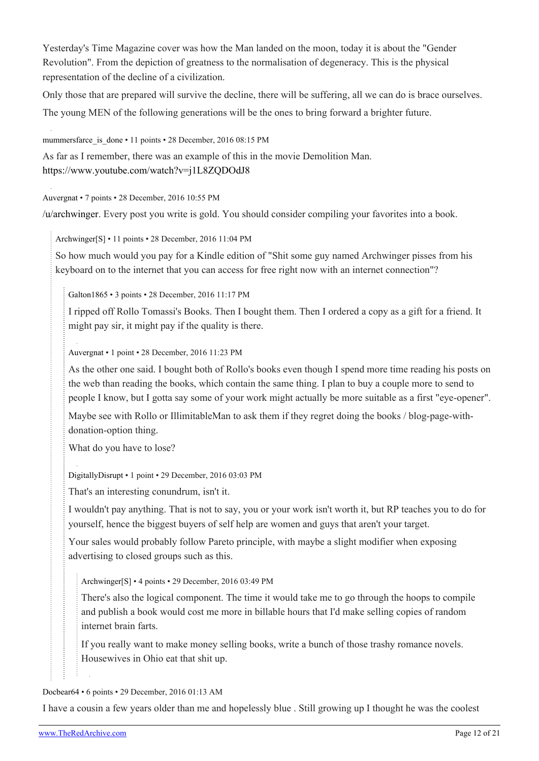Yesterday's Time Magazine cover was how the Man landed on the moon, today it is about the "Gender Revolution". From the depiction of greatness to the normalisation of degeneracy. This is the physical representation of the decline of a civilization.

Only those that are prepared will survive the decline, there will be suffering, all we can do is brace ourselves. The young MEN of the following generations will be the ones to bring forward a brighter future.

mummersfarce is done • 11 points • 28 December, 2016 08:15 PM

As far as I remember, there was an example of this in the movie Demolition Man. <https://www.youtube.com/watch?v=j1L8ZQDOdJ8>

[Auvergnat](https://old.reddit.com/user/Auvergnat) • 7 points • 28 December, 2016 10:55 PM

[/u/archwinger.](https://theredarchive.com/u/archwinger) Every post you write is gold. You should consider compiling your favorites into a book.

[Archwinger](https://old.reddit.com/user/Archwinger)[\[S\]](https://theredarchive.com/r/TheRedPill/comments/5ks0pe/feminine_society_hates_chemistry/) • 11 points • 28 December, 2016 11:04 PM

So how much would you pay for a Kindle edition of "Shit some guy named Archwinger pisses from his keyboard on to the internet that you can access for free right now with an internet connection"?

[Galton1865](https://old.reddit.com/user/Galton1865) • 3 points • 28 December, 2016 11:17 PM

I ripped off Rollo Tomassi's Books. Then I bought them. Then I ordered a copy as a gift for a friend. It might pay sir, it might pay if the quality is there.

[Auvergnat](https://old.reddit.com/user/Auvergnat) • 1 point • 28 December, 2016 11:23 PM

As the other one said. I bought both of Rollo's books even though I spend more time reading his posts on the web than reading the books, which contain the same thing. I plan to buy a couple more to send to people I know, but I gotta say some of your work might actually be more suitable as a first "eye-opener".

Maybe see with Rollo or IllimitableMan to ask them if they regret doing the books / blog-page-withdonation-option thing.

What do you have to lose?

[DigitallyDisrupt](https://old.reddit.com/user/DigitallyDisrupt) • 1 point • 29 December, 2016 03:03 PM

That's an interesting conundrum, isn't it.

I wouldn't pay anything. That is not to say, you or your work isn't worth it, but RP teaches you to do for yourself, hence the biggest buyers of self help are women and guys that aren't your target.

Your sales would probably follow Pareto principle, with maybe a slight modifier when exposing advertising to closed groups such as this.

[Archwinger\[](https://old.reddit.com/user/Archwinger)[S](https://theredarchive.com/r/TheRedPill/comments/5ks0pe/feminine_society_hates_chemistry/)] • 4 points • 29 December, 2016 03:49 PM

There's also the logical component. The time it would take me to go through the hoops to compile and publish a book would cost me more in billable hours that I'd make selling copies of random internet brain farts.

If you really want to make money selling books, write a bunch of those trashy romance novels. Housewives in Ohio eat that shit up.

#### [Docbear64](https://old.reddit.com/user/Docbear64) • 6 points • 29 December, 2016 01:13 AM

I have a cousin a few years older than me and hopelessly blue . Still growing up I thought he was the coolest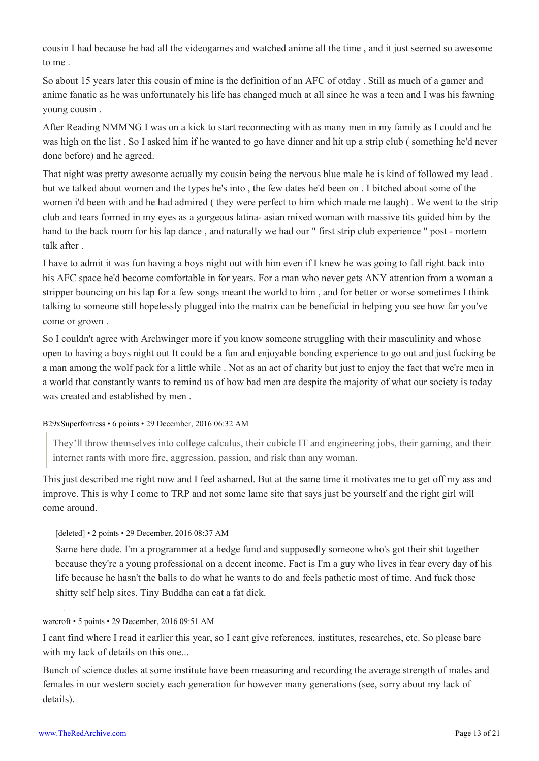cousin I had because he had all the videogames and watched anime all the time , and it just seemed so awesome to me .

So about 15 years later this cousin of mine is the definition of an AFC of otday . Still as much of a gamer and anime fanatic as he was unfortunately his life has changed much at all since he was a teen and I was his fawning young cousin .

After Reading NMMNG I was on a kick to start reconnecting with as many men in my family as I could and he was high on the list . So I asked him if he wanted to go have dinner and hit up a strip club ( something he'd never done before) and he agreed.

That night was pretty awesome actually my cousin being the nervous blue male he is kind of followed my lead . but we talked about women and the types he's into , the few dates he'd been on . I bitched about some of the women i'd been with and he had admired ( they were perfect to him which made me laugh) . We went to the strip club and tears formed in my eyes as a gorgeous latina- asian mixed woman with massive tits guided him by the hand to the back room for his lap dance , and naturally we had our " first strip club experience " post - mortem talk after .

I have to admit it was fun having a boys night out with him even if I knew he was going to fall right back into his AFC space he'd become comfortable in for years. For a man who never gets ANY attention from a woman a stripper bouncing on his lap for a few songs meant the world to him , and for better or worse sometimes I think talking to someone still hopelessly plugged into the matrix can be beneficial in helping you see how far you've come or grown .

So I couldn't agree with Archwinger more if you know someone struggling with their masculinity and whose open to having a boys night out It could be a fun and enjoyable bonding experience to go out and just fucking be a man among the wolf pack for a little while . Not as an act of charity but just to enjoy the fact that we're men in a world that constantly wants to remind us of how bad men are despite the majority of what our society is today was created and established by men .

### [B29xSuperfortress](https://old.reddit.com/user/B29xSuperfortress) • 6 points • 29 December, 2016 06:32 AM

They'll throw themselves into college calculus, their cubicle IT and engineering jobs, their gaming, and their internet rants with more fire, aggression, passion, and risk than any woman.

This just described me right now and I feel ashamed. But at the same time it motivates me to get off my ass and improve. This is why I come to TRP and not some lame site that says just be yourself and the right girl will come around.

### [deleted] • 2 points • 29 December, 2016 08:37 AM

Same here dude. I'm a programmer at a hedge fund and supposedly someone who's got their shit together because they're a young professional on a decent income. Fact is I'm a guy who lives in fear every day of his life because he hasn't the balls to do what he wants to do and feels pathetic most of time. And fuck those shitty self help sites. Tiny Buddha can eat a fat dick.

### [warcroft](https://old.reddit.com/user/warcroft) • 5 points • 29 December, 2016 09:51 AM

I cant find where I read it earlier this year, so I cant give references, institutes, researches, etc. So please bare with my lack of details on this one...

Bunch of science dudes at some institute have been measuring and recording the average strength of males and females in our western society each generation for however many generations (see, sorry about my lack of details).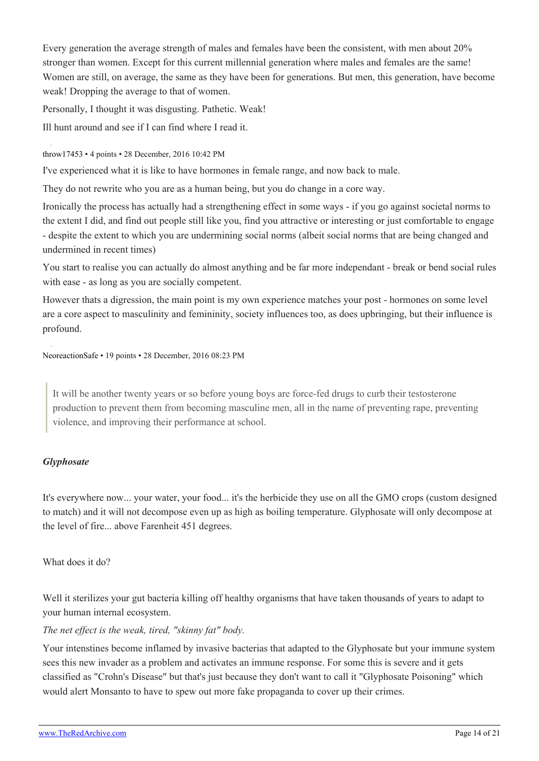Every generation the average strength of males and females have been the consistent, with men about 20% stronger than women. Except for this current millennial generation where males and females are the same! Women are still, on average, the same as they have been for generations. But men, this generation, have become weak! Dropping the average to that of women.

Personally, I thought it was disgusting. Pathetic. Weak!

Ill hunt around and see if I can find where I read it.

### [throw17453](https://old.reddit.com/user/throw17453) • 4 points • 28 December, 2016 10:42 PM

I've experienced what it is like to have hormones in female range, and now back to male.

They do not rewrite who you are as a human being, but you do change in a core way.

Ironically the process has actually had a strengthening effect in some ways - if you go against societal norms to the extent I did, and find out people still like you, find you attractive or interesting or just comfortable to engage - despite the extent to which you are undermining social norms (albeit social norms that are being changed and undermined in recent times)

You start to realise you can actually do almost anything and be far more independant - break or bend social rules with ease - as long as you are socially competent.

However thats a digression, the main point is my own experience matches your post - hormones on some level are a core aspect to masculinity and femininity, society influences too, as does upbringing, but their influence is profound.

[NeoreactionSafe](https://old.reddit.com/user/NeoreactionSafe) • 19 points • 28 December, 2016 08:23 PM

It will be another twenty years or so before young boys are force-fed drugs to curb their testosterone production to prevent them from becoming masculine men, all in the name of preventing rape, preventing violence, and improving their performance at school.

### *Glyphosate*

It's everywhere now... your water, your food... it's the herbicide they use on all the GMO crops (custom designed to match) and it will not decompose even up as high as boiling temperature. Glyphosate will only decompose at the level of fire... above Farenheit 451 degrees.

### What does it do?

Well it sterilizes your gut bacteria killing off healthy organisms that have taken thousands of years to adapt to your human internal ecosystem.

### *The net effect is the weak, tired, "skinny fat" body.*

Your intenstines become inflamed by invasive bacterias that adapted to the Glyphosate but your immune system sees this new invader as a problem and activates an immune response. For some this is severe and it gets classified as "Crohn's Disease" but that's just because they don't want to call it "Glyphosate Poisoning" which would alert Monsanto to have to spew out more fake propaganda to cover up their crimes.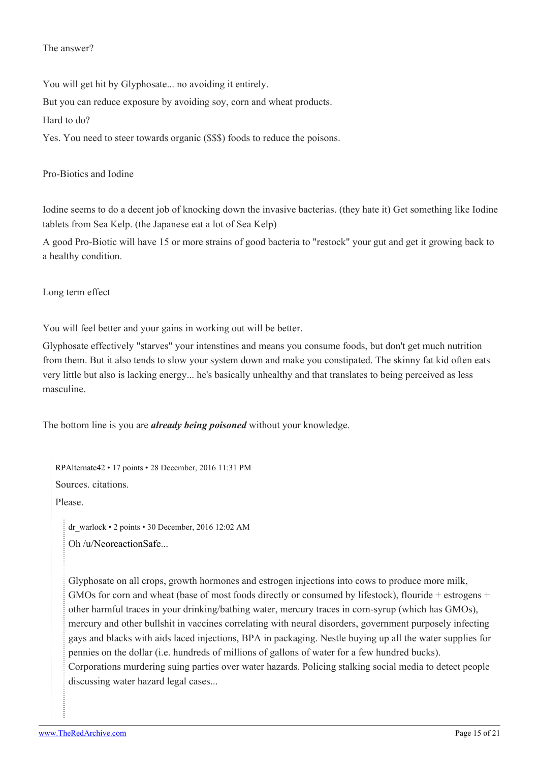#### The answer?

You will get hit by Glyphosate... no avoiding it entirely.

But you can reduce exposure by avoiding soy, corn and wheat products.

Hard to do?

Yes. You need to steer towards organic (\$\$\$) foods to reduce the poisons.

# Pro-Biotics and Iodine

Iodine seems to do a decent job of knocking down the invasive bacterias. (they hate it) Get something like Iodine tablets from Sea Kelp. (the Japanese eat a lot of Sea Kelp)

A good Pro-Biotic will have 15 or more strains of good bacteria to "restock" your gut and get it growing back to a healthy condition.

# Long term effect

You will feel better and your gains in working out will be better.

Glyphosate effectively "starves" your intenstines and means you consume foods, but don't get much nutrition from them. But it also tends to slow your system down and make you constipated. The skinny fat kid often eats very little but also is lacking energy... he's basically unhealthy and that translates to being perceived as less masculine.

The bottom line is you are *already being poisoned* without your knowledge.

[RPAlternate42](https://old.reddit.com/user/RPAlternate42) • 17 points • 28 December, 2016 11:31 PM Sources. citations.

Please.

[dr\\_warlock](https://old.reddit.com/user/dr_warlock) • 2 points • 30 December, 2016 12:02 AM Oh [/u/NeoreactionSafe.](https://theredarchive.com/u/NeoreactionSafe)..

Glyphosate on all crops, growth hormones and estrogen injections into cows to produce more milk, GMOs for corn and wheat (base of most foods directly or consumed by lifestock), flouride + estrogens + other harmful traces in your drinking/bathing water, mercury traces in corn-syrup (which has GMOs), mercury and other bullshit in vaccines correlating with neural disorders, government purposely infecting gays and blacks with aids laced injections, BPA in packaging. Nestle buying up all the water supplies for pennies on the dollar (i.e. hundreds of millions of gallons of water for a few hundred bucks). Corporations murdering suing parties over water hazards. Policing stalking social media to detect people discussing water hazard legal cases...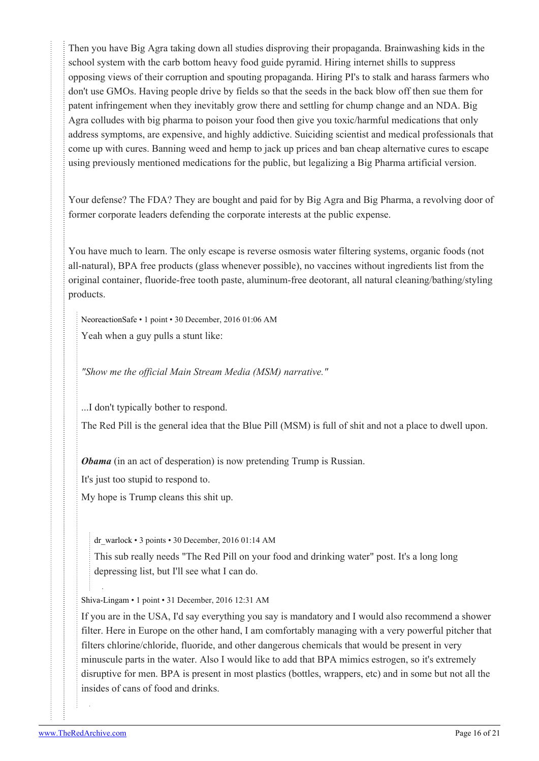Then you have Big Agra taking down all studies disproving their propaganda. Brainwashing kids in the school system with the carb bottom heavy food guide pyramid. Hiring internet shills to suppress opposing views of their corruption and spouting propaganda. Hiring PI's to stalk and harass farmers who don't use GMOs. Having people drive by fields so that the seeds in the back blow off then sue them for patent infringement when they inevitably grow there and settling for chump change and an NDA. Big Agra colludes with big pharma to poison your food then give you toxic/harmful medications that only address symptoms, are expensive, and highly addictive. Suiciding scientist and medical professionals that come up with cures. Banning weed and hemp to jack up prices and ban cheap alternative cures to escape using previously mentioned medications for the public, but legalizing a Big Pharma artificial version.

Your defense? The FDA? They are bought and paid for by Big Agra and Big Pharma, a revolving door of former corporate leaders defending the corporate interests at the public expense.

You have much to learn. The only escape is reverse osmosis water filtering systems, organic foods (not all-natural), BPA free products (glass whenever possible), no vaccines without ingredients list from the original container, fluoride-free tooth paste, aluminum-free deotorant, all natural cleaning/bathing/styling products.

[NeoreactionSafe](https://old.reddit.com/user/NeoreactionSafe) • 1 point • 30 December, 2016 01:06 AM Yeah when a guy pulls a stunt like:

*"Show me the official Main Stream Media (MSM) narrative."*

...I don't typically bother to respond.

The Red Pill is the general idea that the Blue Pill (MSM) is full of shit and not a place to dwell upon.

*Obama* (in an act of desperation) is now pretending Trump is Russian.

It's just too stupid to respond to.

My hope is Trump cleans this shit up.

[dr\\_warlock](https://old.reddit.com/user/dr_warlock) • 3 points • 30 December, 2016 01:14 AM

This sub really needs "The Red Pill on your food and drinking water" post. It's a long long depressing list, but I'll see what I can do.

[Shiva-Lingam](https://old.reddit.com/user/Shiva-Lingam) • 1 point • 31 December, 2016 12:31 AM

If you are in the USA, I'd say everything you say is mandatory and I would also recommend a shower filter. Here in Europe on the other hand, I am comfortably managing with a very powerful pitcher that filters chlorine/chloride, fluoride, and other dangerous chemicals that would be present in very minuscule parts in the water. Also I would like to add that BPA mimics estrogen, so it's extremely disruptive for men. BPA is present in most plastics (bottles, wrappers, etc) and in some but not all the insides of cans of food and drinks.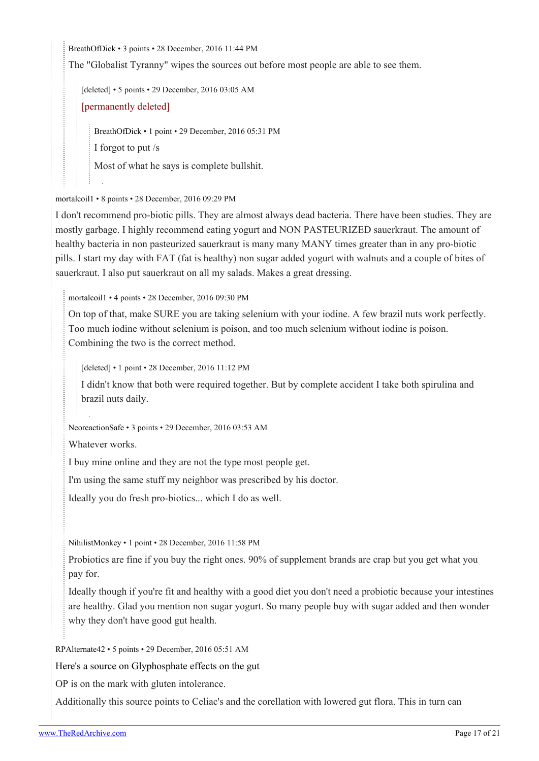[BreathOfDick](https://old.reddit.com/user/BreathOfDick) • 3 points • 28 December, 2016 11:44 PM

The "Globalist Tyranny" wipes the sources out before most people are able to see them.

[deleted] • 5 points • 29 December, 2016 03:05 AM

[permanently deleted]

[BreathOfDick](https://old.reddit.com/user/BreathOfDick) • 1 point • 29 December, 2016 05:31 PM

I forgot to put /s

Most of what he says is complete bullshit.

[mortalcoil1](https://old.reddit.com/user/mortalcoil1) • 8 points • 28 December, 2016 09:29 PM

I don't recommend pro-biotic pills. They are almost always dead bacteria. There have been studies. They are mostly garbage. I highly recommend eating yogurt and NON PASTEURIZED sauerkraut. The amount of healthy bacteria in non pasteurized sauerkraut is many many MANY times greater than in any pro-biotic pills. I start my day with FAT (fat is healthy) non sugar added yogurt with walnuts and a couple of bites of sauerkraut. I also put sauerkraut on all my salads. Makes a great dressing.

[mortalcoil1](https://old.reddit.com/user/mortalcoil1) • 4 points • 28 December, 2016 09:30 PM

On top of that, make SURE you are taking selenium with your iodine. A few brazil nuts work perfectly. Too much iodine without selenium is poison, and too much selenium without iodine is poison. Combining the two is the correct method.

[deleted] • 1 point • 28 December, 2016 11:12 PM

I didn't know that both were required together. But by complete accident I take both spirulina and brazil nuts daily.

[NeoreactionSafe](https://old.reddit.com/user/NeoreactionSafe) • 3 points • 29 December, 2016 03:53 AM

Whatever works.

I buy mine online and they are not the type most people get.

I'm using the same stuff my neighbor was prescribed by his doctor.

Ideally you do fresh pro-biotics... which I do as well.

[NihilistMonkey](https://old.reddit.com/user/NihilistMonkey) • 1 point • 28 December, 2016 11:58 PM

Probiotics are fine if you buy the right ones. 90% of supplement brands are crap but you get what you pay for.

Ideally though if you're fit and healthy with a good diet you don't need a probiotic because your intestines are healthy. Glad you mention non sugar yogurt. So many people buy with sugar added and then wonder why they don't have good gut health.

[RPAlternate42](https://old.reddit.com/user/RPAlternate42) • 5 points • 29 December, 2016 05:51 AM

[Here's a source on Glyphosphate effects on the gut](https://www.ncbi.nlm.nih.gov/pmc/articles/PMC3945755/)

OP is on the mark with gluten intolerance.

Additionally this source points to Celiac's and the corellation with lowered gut flora. This in turn can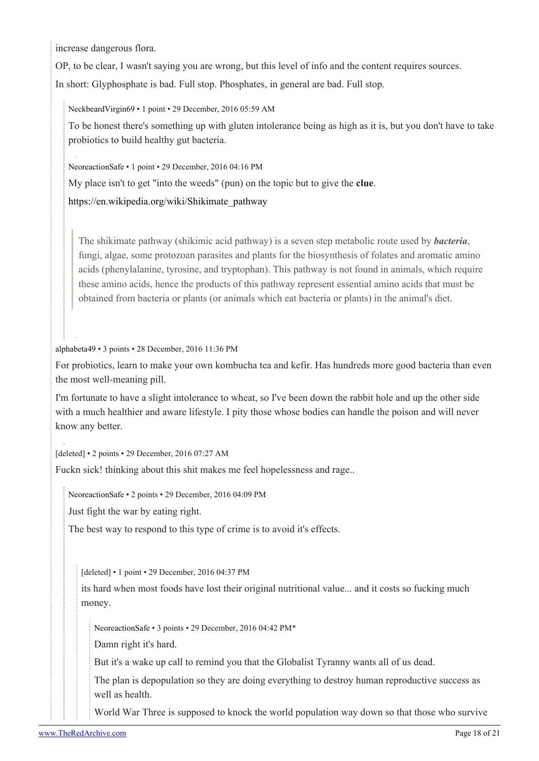increase dangerous flora.

OP, to be clear, I wasn't saying you are wrong, but this level of info and the content requires sources. In short: Glyphosphate is bad. Full stop. Phosphates, in general are bad. Full stop.

[NeckbeardVirgin69](https://old.reddit.com/user/NeckbeardVirgin69) • 1 point • 29 December, 2016 05:59 AM

To be honest there's something up with gluten intolerance being as high as it is, but you don't have to take probiotics to build healthy gut bacteria.

[NeoreactionSafe](https://old.reddit.com/user/NeoreactionSafe) • 1 point • 29 December, 2016 04:16 PM

My place isn't to get "into the weeds" (pun) on the topic but to give the **clue**.

[https://en.wikipedia.org/wiki/Shikimate\\_pathway](https://en.wikipedia.org/wiki/Shikimate_pathway)

The shikimate pathway (shikimic acid pathway) is a seven step metabolic route used by *bacteria*, fungi, algae, some protozoan parasites and plants for the biosynthesis of folates and aromatic amino acids (phenylalanine, tyrosine, and tryptophan). This pathway is not found in animals, which require these amino acids, hence the products of this pathway represent essential amino acids that must be obtained from bacteria or plants (or animals which eat bacteria or plants) in the animal's diet.

[alphabeta49](https://old.reddit.com/user/alphabeta49) • 3 points • 28 December, 2016 11:36 PM

For probiotics, learn to make your own kombucha tea and kefir. Has hundreds more good bacteria than even the most well-meaning pill.

I'm fortunate to have a slight intolerance to wheat, so I've been down the rabbit hole and up the other side with a much healthier and aware lifestyle. I pity those whose bodies can handle the poison and will never know any better.

[deleted] • 2 points • 29 December, 2016 07:27 AM

Fuckn sick! thinking about this shit makes me feel hopelessness and rage..

[NeoreactionSafe](https://old.reddit.com/user/NeoreactionSafe) • 2 points • 29 December, 2016 04:09 PM

Just fight the war by eating right.

The best way to respond to this type of crime is to avoid it's effects.

[deleted] • 1 point • 29 December, 2016 04:37 PM

its hard when most foods have lost their original nutritional value... and it costs so fucking much money.

[NeoreactionSafe](https://old.reddit.com/user/NeoreactionSafe) • 3 points • 29 December, 2016 04:42 PM\*

Damn right it's hard.

But it's a wake up call to remind you that the Globalist Tyranny wants all of us dead.

The plan is depopulation so they are doing everything to destroy human reproductive success as well as health.

World War Three is supposed to knock the world population way down so that those who survive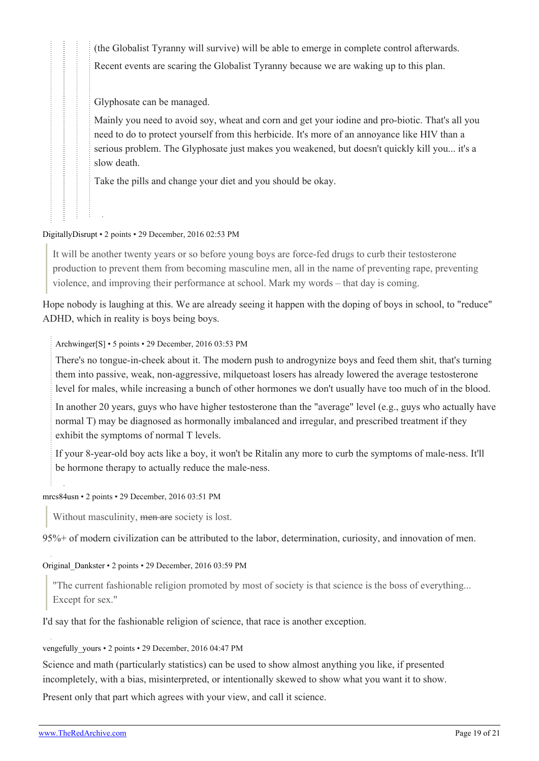(the Globalist Tyranny will survive) will be able to emerge in complete control afterwards. Recent events are scaring the Globalist Tyranny because we are waking up to this plan.

Glyphosate can be managed.

Mainly you need to avoid soy, wheat and corn and get your iodine and pro-biotic. That's all you need to do to protect yourself from this herbicide. It's more of an annoyance like HIV than a serious problem. The Glyphosate just makes you weakened, but doesn't quickly kill you... it's a slow death.

Take the pills and change your diet and you should be okay.

#### [DigitallyDisrupt](https://old.reddit.com/user/DigitallyDisrupt) • 2 points • 29 December, 2016 02:53 PM

It will be another twenty years or so before young boys are force-fed drugs to curb their testosterone production to prevent them from becoming masculine men, all in the name of preventing rape, preventing violence, and improving their performance at school. Mark my words – that day is coming.

Hope nobody is laughing at this. We are already seeing it happen with the doping of boys in school, to "reduce" ADHD, which in reality is boys being boys.

[Archwinger](https://old.reddit.com/user/Archwinger)[\[S\]](https://theredarchive.com/r/TheRedPill/comments/5ks0pe/feminine_society_hates_chemistry/) • 5 points • 29 December, 2016 03:53 PM

There's no tongue-in-cheek about it. The modern push to androgynize boys and feed them shit, that's turning them into passive, weak, non-aggressive, milquetoast losers has already lowered the average testosterone level for males, while increasing a bunch of other hormones we don't usually have too much of in the blood.

In another 20 years, guys who have higher testosterone than the "average" level (e.g., guys who actually have normal T) may be diagnosed as hormonally imbalanced and irregular, and prescribed treatment if they exhibit the symptoms of normal T levels.

If your 8-year-old boy acts like a boy, it won't be Ritalin any more to curb the symptoms of male-ness. It'll be hormone therapy to actually reduce the male-ness.

[mrcs84usn](https://old.reddit.com/user/mrcs84usn) • 2 points • 29 December, 2016 03:51 PM

Without masculinity, men are society is lost.

95%+ of modern civilization can be attributed to the labor, determination, curiosity, and innovation of men.

#### [Original\\_Dankster](https://old.reddit.com/user/Original_Dankster) • 2 points • 29 December, 2016 03:59 PM

"The current fashionable religion promoted by most of society is that science is the boss of everything... Except for sex."

I'd say that for the fashionable religion of science, that race is another exception.

vengefully yours • 2 points • 29 December, 2016 04:47 PM

Science and math (particularly statistics) can be used to show almost anything you like, if presented incompletely, with a bias, misinterpreted, or intentionally skewed to show what you want it to show.

Present only that part which agrees with your view, and call it science.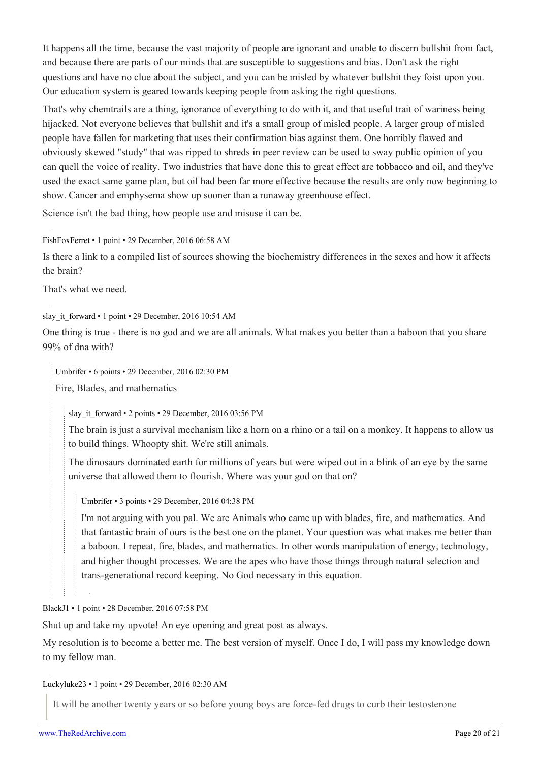It happens all the time, because the vast majority of people are ignorant and unable to discern bullshit from fact, and because there are parts of our minds that are susceptible to suggestions and bias. Don't ask the right questions and have no clue about the subject, and you can be misled by whatever bullshit they foist upon you. Our education system is geared towards keeping people from asking the right questions.

That's why chemtrails are a thing, ignorance of everything to do with it, and that useful trait of wariness being hijacked. Not everyone believes that bullshit and it's a small group of misled people. A larger group of misled people have fallen for marketing that uses their confirmation bias against them. One horribly flawed and obviously skewed "study" that was ripped to shreds in peer review can be used to sway public opinion of you can quell the voice of reality. Two industries that have done this to great effect are tobbacco and oil, and they've used the exact same game plan, but oil had been far more effective because the results are only now beginning to show. Cancer and emphysema show up sooner than a runaway greenhouse effect.

Science isn't the bad thing, how people use and misuse it can be.

[FishFoxFerret](https://old.reddit.com/user/FishFoxFerret) • 1 point • 29 December, 2016 06:58 AM

Is there a link to a compiled list of sources showing the biochemistry differences in the sexes and how it affects the brain?

That's what we need.

[slay\\_it\\_forward](https://old.reddit.com/user/slay_it_forward) • 1 point • 29 December, 2016 10:54 AM

One thing is true - there is no god and we are all animals. What makes you better than a baboon that you share 99% of dna with?

[Umbrifer](https://old.reddit.com/user/Umbrifer) • 6 points • 29 December, 2016 02:30 PM

Fire, Blades, and mathematics

[slay\\_it\\_forward](https://old.reddit.com/user/slay_it_forward) • 2 points • 29 December, 2016 03:56 PM

The brain is just a survival mechanism like a horn on a rhino or a tail on a monkey. It happens to allow us to build things. Whoopty shit. We're still animals.

The dinosaurs dominated earth for millions of years but were wiped out in a blink of an eye by the same universe that allowed them to flourish. Where was your god on that on?

[Umbrifer](https://old.reddit.com/user/Umbrifer) • 3 points • 29 December, 2016 04:38 PM

I'm not arguing with you pal. We are Animals who came up with blades, fire, and mathematics. And that fantastic brain of ours is the best one on the planet. Your question was what makes me better than a baboon. I repeat, fire, blades, and mathematics. In other words manipulation of energy, technology, and higher thought processes. We are the apes who have those things through natural selection and trans-generational record keeping. No God necessary in this equation.

[BlackJ1](https://old.reddit.com/user/BlackJ1) • 1 point • 28 December, 2016 07:58 PM

Shut up and take my upvote! An eye opening and great post as always.

My resolution is to become a better me. The best version of myself. Once I do, I will pass my knowledge down to my fellow man.

[Luckyluke23](https://old.reddit.com/user/Luckyluke23) • 1 point • 29 December, 2016 02:30 AM

It will be another twenty years or so before young boys are force-fed drugs to curb their testosterone